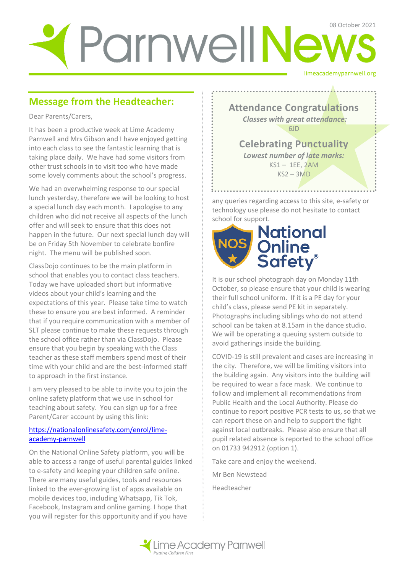# limeacademyparnwell.org ParnwellNews

## **Message from the Headteacher:**

Dear Parents/Carers,

It has been a productive week at Lime Academy Parnwell and Mrs Gibson and I have enjoyed getting into each class to see the fantastic learning that is taking place daily. We have had some visitors from other trust schools in to visit too who have made some lovely comments about the school's progress.

We had an overwhelming response to our special lunch yesterday, therefore we will be looking to host a special lunch day each month. I apologise to any children who did not receive all aspects of the lunch offer and will seek to ensure that this does not happen in the future. Our next special lunch day will be on Friday 5th November to celebrate bonfire night. The menu will be published soon.

ClassDojo continues to be the main platform in school that enables you to contact class teachers. Today we have uploaded short but informative videos about your child's learning and the expectations of this year. Please take time to watch these to ensure you are best informed. A reminder that if you require communication with a member of SLT please continue to make these requests through the school office rather than via ClassDojo. Please ensure that you begin by speaking with the Class teacher as these staff members spend most of their time with your child and are the best-informed staff to approach in the first instance.

I am very pleased to be able to invite you to join the online safety platform that we use in school for teaching about safety. You can sign up for a free Parent/Carer account by using this link:

#### [https://nationalonlinesafety.com/enrol/lime](https://nationalonlinesafety.com/enrol/lime-academy-parnwell)[academy-parnwell](https://nationalonlinesafety.com/enrol/lime-academy-parnwell)

On the National Online Safety platform, you will be able to access a range of useful parental guides linked to e-safety and keeping your children safe online. There are many useful guides, tools and resources linked to the ever-growing list of apps available on mobile devices too, including Whatsapp, Tik Tok, Facebook, Instagram and online gaming. I hope that you will register for this opportunity and if you have

**Attendance Congratulations** *Classes with great attendance:* 6JD

**Celebrating Punctuality**  *Lowest number of late marks:*  KS1 – 1EE, 2AM  $KS2 - 3MD$ 

any queries regarding access to this site, e-safety or technology use please do not hesitate to contact school for support.

. . . . . . . . . . . . . *. . . .* . .



It is our school photograph day on Monday 11th October, so please ensure that your child is wearing their full school uniform. If it is a PE day for your child's class, please send PE kit in separately. Photographs including siblings who do not attend school can be taken at 8.15am in the dance studio. We will be operating a queuing system outside to avoid gatherings inside the building.

COVID-19 is still prevalent and cases are increasing in the city. Therefore, we will be limiting visitors into the building again. Any visitors into the building will be required to wear a face mask. We continue to follow and implement all recommendations from Public Health and the Local Authority. Please do continue to report positive PCR tests to us, so that we can report these on and help to support the fight against local outbreaks. Please also ensure that all pupil related absence is reported to the school office on 01733 942912 (option 1).

Take care and enjoy the weekend.

Mr Ben Newstead

Headteacher

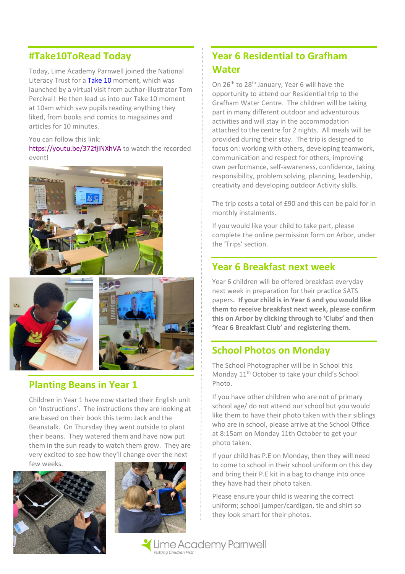## **#Take10ToRead Today**

Today, Lime Academy Parnwell joined the National Literacy Trust for a [Take 10](https://literacytrust.org.uk/communities/take-10/) moment, which was launched by a virtual visit from author-illustrator Tom Percival! He then lead us into our Take 10 moment at 10am which saw pupils reading anything they liked, from books and comics to magazines and articles for 10 minutes.

#### You can follow this link:

<https://youtu.be/372fjINXhVA> to watch the recorded event!







#### **Planting Beans in Year 1**

Children in Year 1 have now started their English unit on 'Instructions'. The instructions they are looking at are based on their book this term: Jack and the Beanstalk. On Thursday they went outside to plant their beans. They watered them and have now put them in the sun ready to watch them grow. They are very excited to see how they'll change over the next few weeks.





## **Year 6 Residential to Grafham Water**

On 26th to 28th January, Year 6 will have the opportunity to attend our Residential trip to the Grafham Water Centre. The children will be taking part in many different outdoor and adventurous activities and will stay in the accommodation attached to the centre for 2 nights. All meals will be provided during their stay. The trip is designed to focus on: working with others, developing teamwork, communication and respect for others, improving own performance, self-awareness, confidence, taking responsibility, problem solving, planning, leadership, creativity and developing outdoor Activity skills.

The trip costs a total of £90 and this can be paid for in monthly instalments.

If you would like your child to take part, please complete the online permission form on Arbor, under the 'Trips' section.

### **Year 6 Breakfast next week**

Year 6 children will be offered breakfast everyday next week in preparation for their practice SATS papers**. If your child is in Year 6 and you would like them to receive breakfast next week, please confirm this on Arbor by clicking through to 'Clubs' and then 'Year 6 Breakfast Club' and registering them.** 

#### **School Photos on Monday**

The School Photographer will be in School this Monday 11<sup>th</sup> October to take your child's School Photo.

If you have other children who are not of primary school age/ do not attend our school but you would like them to have their photo taken with their siblings who are in school, please arrive at the School Office at 8:15am on Monday 11th October to get your photo taken.

If your child has P.E on Monday, then they will need to come to school in their school uniform on this day and bring their P.E kit in a bag to change into once they have had their photo taken.

Please ensure your child is wearing the correct uniform; school jumper/cardigan, tie and shirt so they look smart for their photos.

Lime Academy Parnwell Putting Children Firs